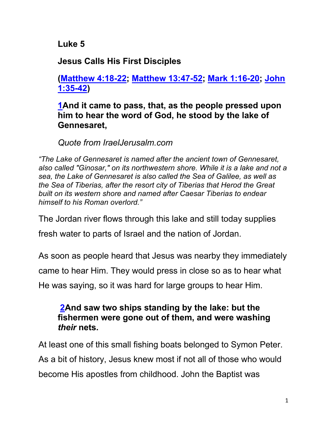**Luke 5**

**Jesus Calls His First Disciples**

**(Matthew 4:18-22; Matthew 13:47-52; Mark 1:16-20; John 1:35-42)**

**1And it came to pass, that, as the people pressed upon him to hear the word of God, he stood by the lake of Gennesaret,**

*Quote from IraelJerusalm.com*

*"The Lake of Gennesaret is named after the ancient town of Gennesaret, also called "Ginosar," on its northwestern shore. While it is a lake and not a sea, the Lake of Gennesaret is also called the Sea of Galilee, as well as the Sea of Tiberias, after the resort city of Tiberias that Herod the Great built on its western shore and named after Caesar Tiberias to endear himself to his Roman overlord."* 

The Jordan river flows through this lake and still today supplies

fresh water to parts of Israel and the nation of Jordan.

As soon as people heard that Jesus was nearby they immediately came to hear Him. They would press in close so as to hear what He was saying, so it was hard for large groups to hear Him.

### **2And saw two ships standing by the lake: but the fishermen were gone out of them, and were washing**  *their* **nets.**

At least one of this small fishing boats belonged to Symon Peter. As a bit of history, Jesus knew most if not all of those who would become His apostles from childhood. John the Baptist was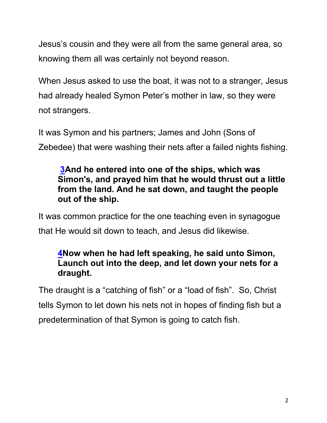Jesus's cousin and they were all from the same general area, so knowing them all was certainly not beyond reason.

When Jesus asked to use the boat, it was not to a stranger, Jesus had already healed Symon Peter's mother in law, so they were not strangers.

It was Symon and his partners; James and John (Sons of Zebedee) that were washing their nets after a failed nights fishing.

## **3And he entered into one of the ships, which was Simon's, and prayed him that he would thrust out a little from the land. And he sat down, and taught the people out of the ship.**

It was common practice for the one teaching even in synagogue that He would sit down to teach, and Jesus did likewise.

## **4Now when he had left speaking, he said unto Simon, Launch out into the deep, and let down your nets for a draught.**

The draught is a "catching of fish" or a "load of fish". So, Christ tells Symon to let down his nets not in hopes of finding fish but a predetermination of that Symon is going to catch fish.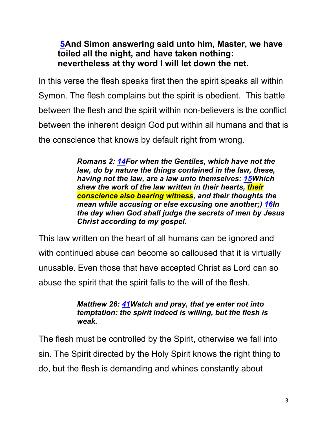## **5And Simon answering said unto him, Master, we have toiled all the night, and have taken nothing: nevertheless at thy word I will let down the net.**

In this verse the flesh speaks first then the spirit speaks all within Symon. The flesh complains but the spirit is obedient. This battle between the flesh and the spirit within non-believers is the conflict between the inherent design God put within all humans and that is the conscience that knows by default right from wrong.

> *Romans 2: 14For when the Gentiles, which have not the law, do by nature the things contained in the law, these, having not the law, are a law unto themselves: 15Which shew the work of the law written in their hearts, their conscience also bearing witness, and their thoughts the mean while accusing or else excusing one another;) 16In the day when God shall judge the secrets of men by Jesus Christ according to my gospel.*

This law written on the heart of all humans can be ignored and with continued abuse can become so calloused that it is virtually unusable. Even those that have accepted Christ as Lord can so abuse the spirit that the spirit falls to the will of the flesh.

#### *Matthew 26: 41Watch and pray, that ye enter not into temptation: the spirit indeed is willing, but the flesh is weak.*

The flesh must be controlled by the Spirit, otherwise we fall into sin. The Spirit directed by the Holy Spirit knows the right thing to do, but the flesh is demanding and whines constantly about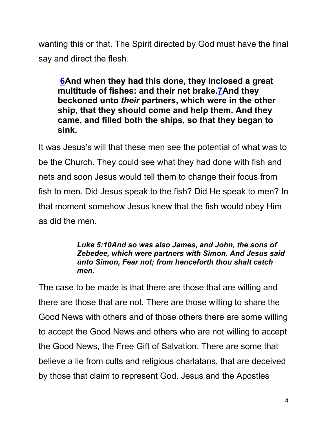wanting this or that. The Spirit directed by God must have the final say and direct the flesh.

**6And when they had this done, they inclosed a great multitude of fishes: and their net brake.7And they beckoned unto** *their* **partners, which were in the other ship, that they should come and help them. And they came, and filled both the ships, so that they began to sink.**

It was Jesus's will that these men see the potential of what was to be the Church. They could see what they had done with fish and nets and soon Jesus would tell them to change their focus from fish to men. Did Jesus speak to the fish? Did He speak to men? In that moment somehow Jesus knew that the fish would obey Him as did the men.

#### *Luke 5:10And so was also James, and John, the sons of Zebedee, which were partners with Simon. And Jesus said unto Simon, Fear not; from henceforth thou shalt catch men.*

The case to be made is that there are those that are willing and there are those that are not. There are those willing to share the Good News with others and of those others there are some willing to accept the Good News and others who are not willing to accept the Good News, the Free Gift of Salvation. There are some that believe a lie from cults and religious charlatans, that are deceived by those that claim to represent God. Jesus and the Apostles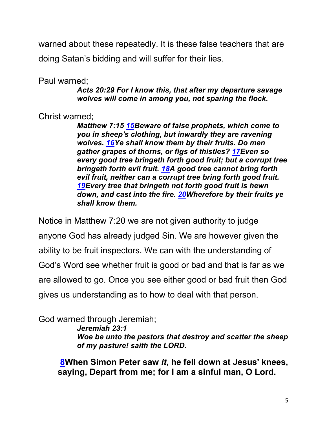warned about these repeatedly. It is these false teachers that are doing Satan's bidding and will suffer for their lies.

Paul warned;

*Acts 20:29 For I know this, that after my departure savage wolves will come in among you, not sparing the flock.*

Christ warned;

*Matthew 7:15 15Beware of false prophets, which come to you in sheep's clothing, but inwardly they are ravening wolves. 16Ye shall know them by their fruits. Do men gather grapes of thorns, or figs of thistles? 17Even so every good tree bringeth forth good fruit; but a corrupt tree bringeth forth evil fruit. 18A good tree cannot bring forth evil fruit, neither can a corrupt tree bring forth good fruit. 19Every tree that bringeth not forth good fruit is hewn down, and cast into the fire. 20Wherefore by their fruits ye shall know them.*

Notice in Matthew 7:20 we are not given authority to judge anyone God has already judged Sin. We are however given the ability to be fruit inspectors. We can with the understanding of God's Word see whether fruit is good or bad and that is far as we are allowed to go. Once you see either good or bad fruit then God gives us understanding as to how to deal with that person.

God warned through Jeremiah; *Jeremiah 23:1 Woe be unto the pastors that destroy and scatter the sheep of my pasture! saith the LORD.*

**8When Simon Peter saw** *it***, he fell down at Jesus' knees, saying, Depart from me; for I am a sinful man, O Lord.**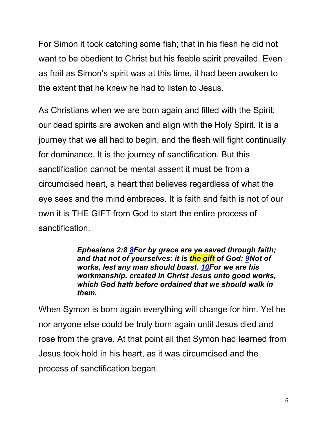For Simon it took catching some fish; that in his flesh he did not want to be obedient to Christ but his feeble spirit prevailed. Even as frail as Simon's spirit was at this time, it had been awoken to the extent that he knew he had to listen to Jesus.

As Christians when we are born again and filled with the Spirit; our dead spirits are awoken and align with the Holy Spirit. It is a journey that we all had to begin, and the flesh will fight continually for dominance. It is the journey of sanctification. But this sanctification cannot be mental assent it must be from a circumcised heart, a heart that believes regardless of what the eye sees and the mind embraces. It is faith and faith is not of our own it is THE GIFT from God to start the entire process of sanctification.

> *Ephesians 2:8 8For by grace are ye saved through faith; and that not of yourselves: it is the gift of God: 9Not of works, lest any man should boast. 10For we are his workmanship, created in Christ Jesus unto good works, which God hath before ordained that we should walk in them.*

When Symon is born again everything will change for him. Yet he nor anyone else could be truly born again until Jesus died and rose from the grave. At that point all that Symon had learned from Jesus took hold in his heart, as it was circumcised and the process of sanctification began.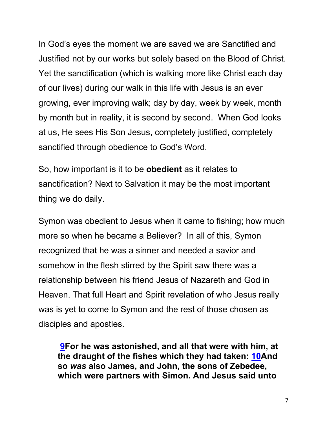In God's eyes the moment we are saved we are Sanctified and Justified not by our works but solely based on the Blood of Christ. Yet the sanctification (which is walking more like Christ each day of our lives) during our walk in this life with Jesus is an ever growing, ever improving walk; day by day, week by week, month by month but in reality, it is second by second. When God looks at us, He sees His Son Jesus, completely justified, completely sanctified through obedience to God's Word.

So, how important is it to be **obedient** as it relates to sanctification? Next to Salvation it may be the most important thing we do daily.

Symon was obedient to Jesus when it came to fishing; how much more so when he became a Believer? In all of this, Symon recognized that he was a sinner and needed a savior and somehow in the flesh stirred by the Spirit saw there was a relationship between his friend Jesus of Nazareth and God in Heaven. That full Heart and Spirit revelation of who Jesus really was is yet to come to Symon and the rest of those chosen as disciples and apostles.

**9For he was astonished, and all that were with him, at the draught of the fishes which they had taken: 10And so** *was* **also James, and John, the sons of Zebedee, which were partners with Simon. And Jesus said unto**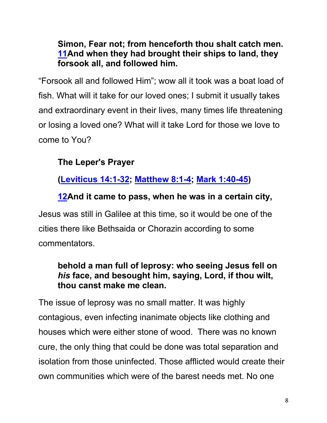**Simon, Fear not; from henceforth thou shalt catch men. 11And when they had brought their ships to land, they forsook all, and followed him.**

"Forsook all and followed Him"; wow all it took was a boat load of fish. What will it take for our loved ones; I submit it usually takes and extraordinary event in their lives, many times life threatening or losing a loved one? What will it take Lord for those we love to come to You?

# **The Leper's Prayer**

**(Leviticus 14:1-32; Matthew 8:1-4; Mark 1:40-45)**

## **12And it came to pass, when he was in a certain city,**

Jesus was still in Galilee at this time, so it would be one of the cities there like Bethsaida or Chorazin according to some commentators.

### **behold a man full of leprosy: who seeing Jesus fell on**  *his* **face, and besought him, saying, Lord, if thou wilt, thou canst make me clean.**

The issue of leprosy was no small matter. It was highly contagious, even infecting inanimate objects like clothing and houses which were either stone of wood. There was no known cure, the only thing that could be done was total separation and isolation from those uninfected. Those afflicted would create their own communities which were of the barest needs met. No one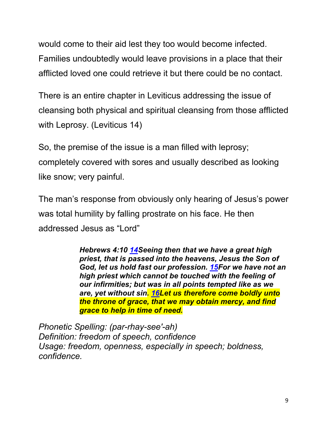would come to their aid lest they too would become infected. Families undoubtedly would leave provisions in a place that their afflicted loved one could retrieve it but there could be no contact.

There is an entire chapter in Leviticus addressing the issue of cleansing both physical and spiritual cleansing from those afflicted with Leprosy. (Leviticus 14)

So, the premise of the issue is a man filled with leprosy; completely covered with sores and usually described as looking like snow; very painful.

The man's response from obviously only hearing of Jesus's power was total humility by falling prostrate on his face. He then addressed Jesus as "Lord"

> *Hebrews 4:10 14Seeing then that we have a great high priest, that is passed into the heavens, Jesus the Son of God, let us hold fast our profession. 15For we have not an high priest which cannot be touched with the feeling of our infirmities; but was in all points tempted like as we are, yet without sin. 16Let us therefore come boldly unto the throne of grace, that we may obtain mercy, and find grace to help in time of need.*

*Phonetic Spelling: (par-rhay-see'-ah) Definition: freedom of speech, confidence Usage: freedom, openness, especially in speech; boldness, confidence.*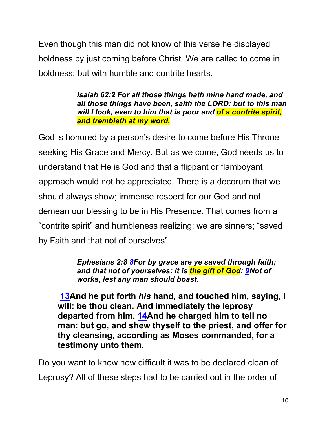Even though this man did not know of this verse he displayed boldness by just coming before Christ. We are called to come in boldness; but with humble and contrite hearts.

> *Isaiah 62:2 For all those things hath mine hand made, and all those things have been, saith the LORD: but to this man will I look, even to him that is poor and of a contrite spirit, and trembleth at my word.*

God is honored by a person's desire to come before His Throne seeking His Grace and Mercy. But as we come, God needs us to understand that He is God and that a flippant or flamboyant approach would not be appreciated. There is a decorum that we should always show; immense respect for our God and not demean our blessing to be in His Presence. That comes from a "contrite spirit" and humbleness realizing: we are sinners; "saved by Faith and that not of ourselves"

> *Ephesians 2:8 8For by grace are ye saved through faith; and that not of yourselves: it is the gift of God: 9Not of works, lest any man should boast.*

**13And he put forth** *his* **hand, and touched him, saying, I will: be thou clean. And immediately the leprosy departed from him. 14And he charged him to tell no man: but go, and shew thyself to the priest, and offer for thy cleansing, according as Moses commanded, for a testimony unto them.**

Do you want to know how difficult it was to be declared clean of Leprosy? All of these steps had to be carried out in the order of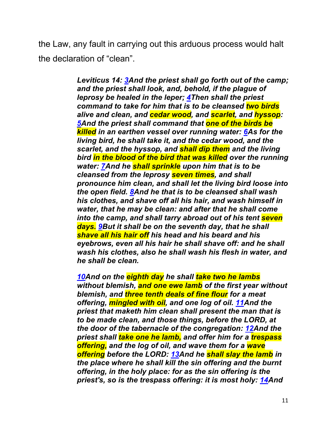the Law, any fault in carrying out this arduous process would halt the declaration of "clean".

> *Leviticus 14: 3And the priest shall go forth out of the camp; and the priest shall look, and, behold, if the plague of leprosy be healed in the leper; 4Then shall the priest command to take for him that is to be cleansed two birds alive and clean, and cedar wood, and scarlet, and hyssop: 5And the priest shall command that one of the birds be killed in an earthen vessel over running water: 6As for the living bird, he shall take it, and the cedar wood, and the scarlet, and the hyssop, and shall dip them and the living bird in the blood of the bird that was killed over the running water: 7And he shall sprinkle upon him that is to be cleansed from the leprosy seven times, and shall pronounce him clean, and shall let the living bird loose into the open field. 8And he that is to be cleansed shall wash his clothes, and shave off all his hair, and wash himself in water, that he may be clean: and after that he shall come into the camp, and shall tarry abroad out of his tent seven days. 9But it shall be on the seventh day, that he shall shave all his hair off his head and his beard and his eyebrows, even all his hair he shall shave off: and he shall wash his clothes, also he shall wash his flesh in water, and he shall be clean.*

> *10And on the eighth day he shall take two he lambs without blemish, and one ewe lamb of the first year without blemish, and three tenth deals of fine flour for a meat offering, mingled with oil, and one log of oil. 11And the priest that maketh him clean shall present the man that is to be made clean, and those things, before the LORD, at the door of the tabernacle of the congregation: 12And the priest shall take one he lamb, and offer him for a trespass offering, and the log of oil, and wave them for a wave offering before the LORD: 13And he shall slay the lamb in the place where he shall kill the sin offering and the burnt offering, in the holy place: for as the sin offering is the priest's, so is the trespass offering: it is most holy: 14And*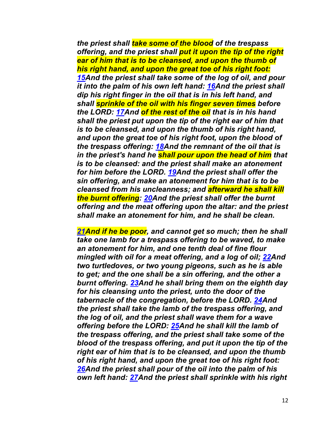*the priest shall take some of the blood of the trespass offering, and the priest shall put it upon the tip of the right ear of him that is to be cleansed, and upon the thumb of his right hand, and upon the great toe of his right foot: 15And the priest shall take some of the log of oil, and pour it into the palm of his own left hand: 16And the priest shall dip his right finger in the oil that is in his left hand, and shall sprinkle of the oil with his finger seven times before the LORD: 17And of the rest of the oil that is in his hand shall the priest put upon the tip of the right ear of him that is to be cleansed, and upon the thumb of his right hand, and upon the great toe of his right foot, upon the blood of the trespass offering: 18And the remnant of the oil that is in the priest's hand he shall pour upon the head of him that is to be cleansed: and the priest shall make an atonement for him before the LORD. 19And the priest shall offer the sin offering, and make an atonement for him that is to be cleansed from his uncleanness; and afterward he shall kill the burnt offering: 20And the priest shall offer the burnt offering and the meat offering upon the altar: and the priest shall make an atonement for him, and he shall be clean.*

*21And if he be poor, and cannot get so much; then he shall take one lamb for a trespass offering to be waved, to make an atonement for him, and one tenth deal of fine flour mingled with oil for a meat offering, and a log of oil; 22And two turtledoves, or two young pigeons, such as he is able to get; and the one shall be a sin offering, and the other a burnt offering. 23And he shall bring them on the eighth day for his cleansing unto the priest, unto the door of the tabernacle of the congregation, before the LORD. 24And the priest shall take the lamb of the trespass offering, and the log of oil, and the priest shall wave them for a wave offering before the LORD: 25And he shall kill the lamb of the trespass offering, and the priest shall take some of the blood of the trespass offering, and put it upon the tip of the right ear of him that is to be cleansed, and upon the thumb of his right hand, and upon the great toe of his right foot: 26And the priest shall pour of the oil into the palm of his own left hand: 27And the priest shall sprinkle with his right*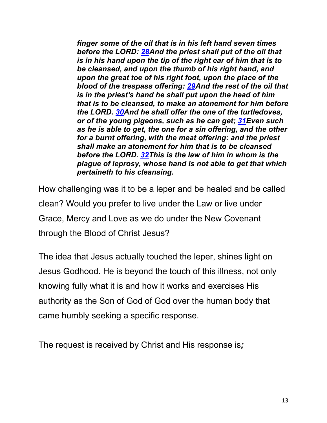*finger some of the oil that is in his left hand seven times before the LORD: 28And the priest shall put of the oil that is in his hand upon the tip of the right ear of him that is to be cleansed, and upon the thumb of his right hand, and upon the great toe of his right foot, upon the place of the blood of the trespass offering: 29And the rest of the oil that is in the priest's hand he shall put upon the head of him that is to be cleansed, to make an atonement for him before the LORD. 30And he shall offer the one of the turtledoves, or of the young pigeons, such as he can get; 31Even such as he is able to get, the one for a sin offering, and the other for a burnt offering, with the meat offering: and the priest shall make an atonement for him that is to be cleansed before the LORD. 32This is the law of him in whom is the plague of leprosy, whose hand is not able to get that which pertaineth to his cleansing.*

How challenging was it to be a leper and be healed and be called clean? Would you prefer to live under the Law or live under Grace, Mercy and Love as we do under the New Covenant through the Blood of Christ Jesus?

The idea that Jesus actually touched the leper, shines light on Jesus Godhood. He is beyond the touch of this illness, not only knowing fully what it is and how it works and exercises His authority as the Son of God of God over the human body that came humbly seeking a specific response.

The request is received by Christ and His response is*;*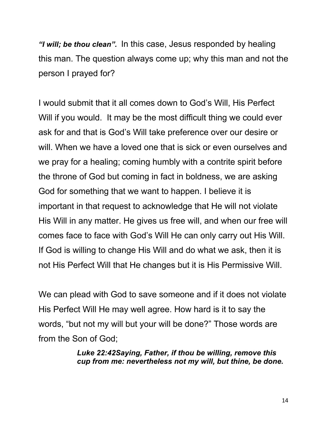*"I will; be thou clean".* In this case, Jesus responded by healing this man. The question always come up; why this man and not the person I prayed for?

I would submit that it all comes down to God's Will, His Perfect Will if you would. It may be the most difficult thing we could ever ask for and that is God's Will take preference over our desire or will. When we have a loved one that is sick or even ourselves and we pray for a healing; coming humbly with a contrite spirit before the throne of God but coming in fact in boldness, we are asking God for something that we want to happen. I believe it is important in that request to acknowledge that He will not violate His Will in any matter. He gives us free will, and when our free will comes face to face with God's Will He can only carry out His Will. If God is willing to change His Will and do what we ask, then it is not His Perfect Will that He changes but it is His Permissive Will.

We can plead with God to save someone and if it does not violate His Perfect Will He may well agree. How hard is it to say the words, "but not my will but your will be done?" Those words are from the Son of God;

> *Luke 22:42Saying, Father, if thou be willing, remove this cup from me: nevertheless not my will, but thine, be done.*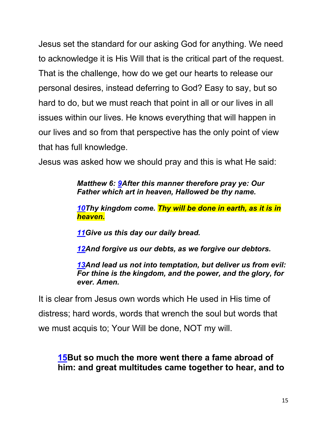Jesus set the standard for our asking God for anything. We need to acknowledge it is His Will that is the critical part of the request. That is the challenge, how do we get our hearts to release our personal desires, instead deferring to God? Easy to say, but so hard to do, but we must reach that point in all or our lives in all issues within our lives. He knows everything that will happen in our lives and so from that perspective has the only point of view that has full knowledge.

Jesus was asked how we should pray and this is what He said:

*Matthew 6: 9After this manner therefore pray ye: Our Father which art in heaven, Hallowed be thy name.*

*10Thy kingdom come. Thy will be done in earth, as it is in heaven.*

*11Give us this day our daily bread.*

*12And forgive us our debts, as we forgive our debtors.*

*13And lead us not into temptation, but deliver us from evil: For thine is the kingdom, and the power, and the glory, for ever. Amen.* 

It is clear from Jesus own words which He used in His time of distress; hard words, words that wrench the soul but words that we must acquis to; Your Will be done, NOT my will.

## **15But so much the more went there a fame abroad of him: and great multitudes came together to hear, and to**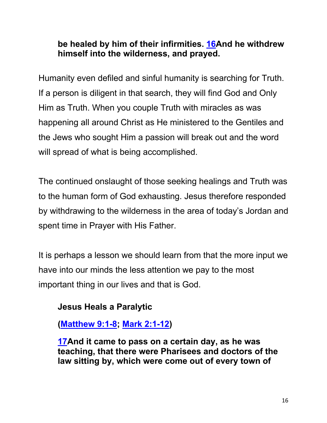## **be healed by him of their infirmities. 16And he withdrew himself into the wilderness, and prayed.**

Humanity even defiled and sinful humanity is searching for Truth. If a person is diligent in that search, they will find God and Only Him as Truth. When you couple Truth with miracles as was happening all around Christ as He ministered to the Gentiles and the Jews who sought Him a passion will break out and the word will spread of what is being accomplished.

The continued onslaught of those seeking healings and Truth was to the human form of God exhausting. Jesus therefore responded by withdrawing to the wilderness in the area of today's Jordan and spent time in Prayer with His Father.

It is perhaps a lesson we should learn from that the more input we have into our minds the less attention we pay to the most important thing in our lives and that is God.

## **Jesus Heals a Paralytic**

# **(Matthew 9:1-8; Mark 2:1-12)**

**17And it came to pass on a certain day, as he was teaching, that there were Pharisees and doctors of the law sitting by, which were come out of every town of**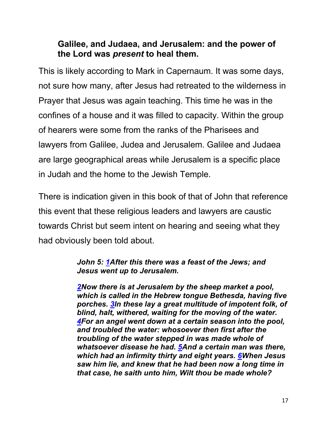### **Galilee, and Judaea, and Jerusalem: and the power of the Lord was** *present* **to heal them.**

This is likely according to Mark in Capernaum. It was some days, not sure how many, after Jesus had retreated to the wilderness in Prayer that Jesus was again teaching. This time he was in the confines of a house and it was filled to capacity. Within the group of hearers were some from the ranks of the Pharisees and lawyers from Galilee, Judea and Jerusalem. Galilee and Judaea are large geographical areas while Jerusalem is a specific place in Judah and the home to the Jewish Temple.

There is indication given in this book of that of John that reference this event that these religious leaders and lawyers are caustic towards Christ but seem intent on hearing and seeing what they had obviously been told about.

#### *John 5: 1After this there was a feast of the Jews; and Jesus went up to Jerusalem.*

*2Now there is at Jerusalem by the sheep market a pool, which is called in the Hebrew tongue Bethesda, having five porches. 3In these lay a great multitude of impotent folk, of blind, halt, withered, waiting for the moving of the water. 4For an angel went down at a certain season into the pool, and troubled the water: whosoever then first after the troubling of the water stepped in was made whole of whatsoever disease he had. 5And a certain man was there, which had an infirmity thirty and eight years. 6When Jesus saw him lie, and knew that he had been now a long time in that case, he saith unto him, Wilt thou be made whole?*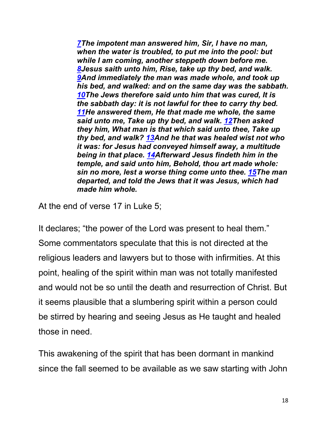*7The impotent man answered him, Sir, I have no man, when the water is troubled, to put me into the pool: but while I am coming, another steppeth down before me. 8Jesus saith unto him, Rise, take up thy bed, and walk. 9And immediately the man was made whole, and took up his bed, and walked: and on the same day was the sabbath. 10The Jews therefore said unto him that was cured, It is the sabbath day: it is not lawful for thee to carry thy bed. 11He answered them, He that made me whole, the same said unto me, Take up thy bed, and walk. 12Then asked they him, What man is that which said unto thee, Take up thy bed, and walk? 13And he that was healed wist not who it was: for Jesus had conveyed himself away, a multitude being in that place. 14Afterward Jesus findeth him in the temple, and said unto him, Behold, thou art made whole: sin no more, lest a worse thing come unto thee. 15The man departed, and told the Jews that it was Jesus, which had made him whole.*

At the end of verse 17 in Luke 5;

It declares; "the power of the Lord was present to heal them." Some commentators speculate that this is not directed at the religious leaders and lawyers but to those with infirmities. At this point, healing of the spirit within man was not totally manifested and would not be so until the death and resurrection of Christ. But it seems plausible that a slumbering spirit within a person could be stirred by hearing and seeing Jesus as He taught and healed those in need.

This awakening of the spirit that has been dormant in mankind since the fall seemed to be available as we saw starting with John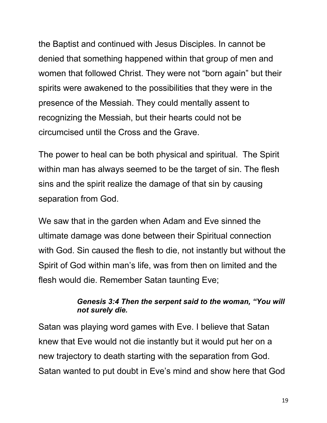the Baptist and continued with Jesus Disciples. In cannot be denied that something happened within that group of men and women that followed Christ. They were not "born again" but their spirits were awakened to the possibilities that they were in the presence of the Messiah. They could mentally assent to recognizing the Messiah, but their hearts could not be circumcised until the Cross and the Grave.

The power to heal can be both physical and spiritual. The Spirit within man has always seemed to be the target of sin. The flesh sins and the spirit realize the damage of that sin by causing separation from God.

We saw that in the garden when Adam and Eve sinned the ultimate damage was done between their Spiritual connection with God. Sin caused the flesh to die, not instantly but without the Spirit of God within man's life, was from then on limited and the flesh would die. Remember Satan taunting Eve;

#### *Genesis 3:4 Then the serpent said to the woman, "You will not surely die.*

Satan was playing word games with Eve. I believe that Satan knew that Eve would not die instantly but it would put her on a new trajectory to death starting with the separation from God. Satan wanted to put doubt in Eve's mind and show here that God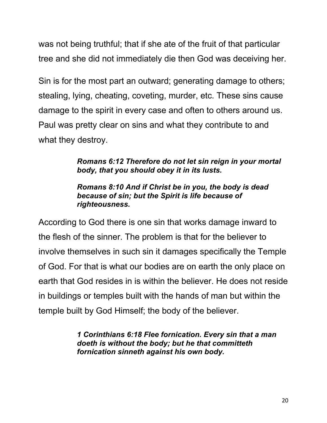was not being truthful; that if she ate of the fruit of that particular tree and she did not immediately die then God was deceiving her.

Sin is for the most part an outward; generating damage to others; stealing, lying, cheating, coveting, murder, etc. These sins cause damage to the spirit in every case and often to others around us. Paul was pretty clear on sins and what they contribute to and what they destroy.

> *Romans 6:12 Therefore do not let sin reign in your mortal body, that you should obey it in its lusts.*

#### *Romans 8:10 And if Christ be in you, the body is dead because of sin; but the Spirit is life because of righteousness.*

According to God there is one sin that works damage inward to the flesh of the sinner. The problem is that for the believer to involve themselves in such sin it damages specifically the Temple of God. For that is what our bodies are on earth the only place on earth that God resides in is within the believer. He does not reside in buildings or temples built with the hands of man but within the temple built by God Himself; the body of the believer.

> *1 Corinthians 6:18 Flee fornication. Every sin that a man doeth is without the body; but he that committeth fornication sinneth against his own body.*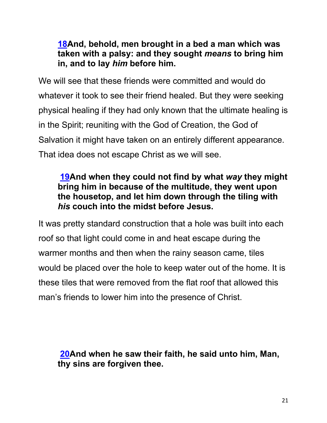## **18And, behold, men brought in a bed a man which was taken with a palsy: and they sought** *means* **to bring him in, and to lay** *him* **before him.**

We will see that these friends were committed and would do whatever it took to see their friend healed. But they were seeking physical healing if they had only known that the ultimate healing is in the Spirit; reuniting with the God of Creation, the God of Salvation it might have taken on an entirely different appearance. That idea does not escape Christ as we will see.

## **19And when they could not find by what** *way* **they might bring him in because of the multitude, they went upon the housetop, and let him down through the tiling with**  *his* **couch into the midst before Jesus.**

It was pretty standard construction that a hole was built into each roof so that light could come in and heat escape during the warmer months and then when the rainy season came, tiles would be placed over the hole to keep water out of the home. It is these tiles that were removed from the flat roof that allowed this man's friends to lower him into the presence of Christ.

## **20And when he saw their faith, he said unto him, Man, thy sins are forgiven thee.**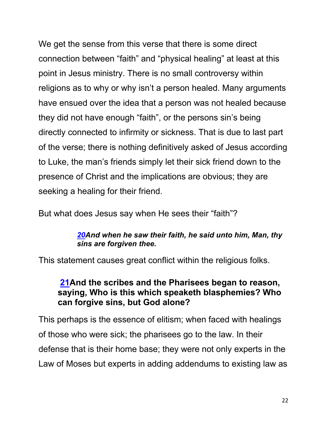We get the sense from this verse that there is some direct connection between "faith" and "physical healing" at least at this point in Jesus ministry. There is no small controversy within religions as to why or why isn't a person healed. Many arguments have ensued over the idea that a person was not healed because they did not have enough "faith", or the persons sin's being directly connected to infirmity or sickness. That is due to last part of the verse; there is nothing definitively asked of Jesus according to Luke, the man's friends simply let their sick friend down to the presence of Christ and the implications are obvious; they are seeking a healing for their friend.

But what does Jesus say when He sees their "faith"?

#### *20And when he saw their faith, he said unto him, Man, thy sins are forgiven thee.*

This statement causes great conflict within the religious folks.

## **21And the scribes and the Pharisees began to reason, saying, Who is this which speaketh blasphemies? Who can forgive sins, but God alone?**

This perhaps is the essence of elitism; when faced with healings of those who were sick; the pharisees go to the law. In their defense that is their home base; they were not only experts in the Law of Moses but experts in adding addendums to existing law as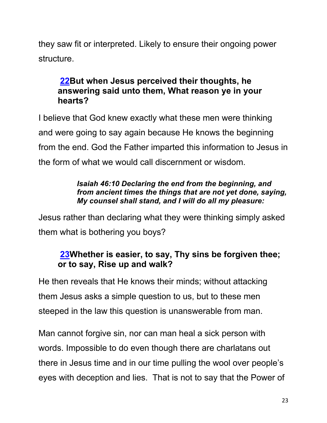they saw fit or interpreted. Likely to ensure their ongoing power structure.

## **22But when Jesus perceived their thoughts, he answering said unto them, What reason ye in your hearts?**

I believe that God knew exactly what these men were thinking and were going to say again because He knows the beginning from the end. God the Father imparted this information to Jesus in the form of what we would call discernment or wisdom.

#### *Isaiah 46:10 Declaring the end from the beginning, and from ancient times the things that are not yet done, saying, My counsel shall stand, and I will do all my pleasure:*

Jesus rather than declaring what they were thinking simply asked them what is bothering you boys?

## **23Whether is easier, to say, Thy sins be forgiven thee; or to say, Rise up and walk?**

He then reveals that He knows their minds; without attacking them Jesus asks a simple question to us, but to these men steeped in the law this question is unanswerable from man.

Man cannot forgive sin, nor can man heal a sick person with words. Impossible to do even though there are charlatans out there in Jesus time and in our time pulling the wool over people's eyes with deception and lies. That is not to say that the Power of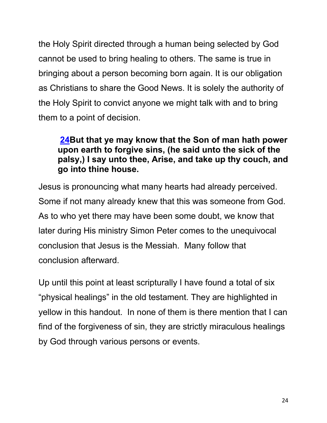the Holy Spirit directed through a human being selected by God cannot be used to bring healing to others. The same is true in bringing about a person becoming born again. It is our obligation as Christians to share the Good News. It is solely the authority of the Holy Spirit to convict anyone we might talk with and to bring them to a point of decision.

## **24But that ye may know that the Son of man hath power upon earth to forgive sins, (he said unto the sick of the palsy,) I say unto thee, Arise, and take up thy couch, and go into thine house.**

Jesus is pronouncing what many hearts had already perceived. Some if not many already knew that this was someone from God. As to who yet there may have been some doubt, we know that later during His ministry Simon Peter comes to the unequivocal conclusion that Jesus is the Messiah. Many follow that conclusion afterward.

Up until this point at least scripturally I have found a total of six "physical healings" in the old testament. They are highlighted in yellow in this handout. In none of them is there mention that I can find of the forgiveness of sin, they are strictly miraculous healings by God through various persons or events.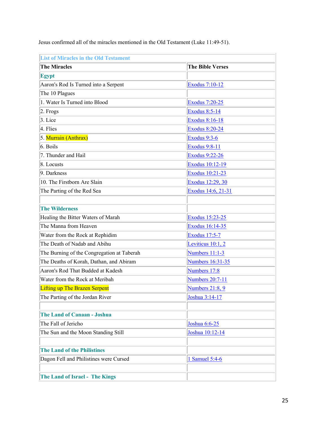| <b>List of Miracles in the Old Testament</b> |                         |  |
|----------------------------------------------|-------------------------|--|
| <b>The Miracles</b>                          | <b>The Bible Verses</b> |  |
| <b>Egypt</b>                                 |                         |  |
| Aaron's Rod Is Turned into a Serpent         | Exodus 7:10-12          |  |
| The 10 Plagues                               |                         |  |
| 1. Water Is Turned into Blood                | <b>Exodus 7:20-25</b>   |  |
| 2. Frogs                                     | <b>Exodus 8:5-14</b>    |  |
| 3. Lice                                      | <b>Exodus 8:16-18</b>   |  |
| 4. Flies                                     | <b>Exodus 8:20-24</b>   |  |
| 5. Murrain (Anthrax)                         | Exodus 9:3-6            |  |
| 6. Boils                                     | <b>Exodus 9:8-11</b>    |  |
| 7. Thunder and Hail                          | <b>Exodus 9:22-26</b>   |  |
| 8. Locusts                                   | Exodus 10:12-19         |  |
| $9.$ Darkness                                | Exodus 10:21-23         |  |
| 10. The Firstborn Are Slain                  | Exodus 12:29, 30        |  |
| The Parting of the Red Sea                   | Exodus 14:6, 21-31      |  |
|                                              |                         |  |
| <b>The Wilderness</b>                        |                         |  |
| Healing the Bitter Waters of Marah           | Exodus 15:23-25         |  |
| The Manna from Heaven                        | Exodus 16:14-35         |  |
| Water from the Rock at Rephidim              | <b>Exodus 17:5-7</b>    |  |
| The Death of Nadab and Abihu                 | Leviticus 10:1, 2       |  |
| The Burning of the Congregation at Taberah   | Numbers 11:1-3          |  |
| The Deaths of Korah, Dathan, and Abiram      | Numbers 16:31-35        |  |
| Aaron's Rod That Budded at Kadesh            | Numbers 17:8            |  |
| Water from the Rock at Meribah               | <b>Numbers 20:7-11</b>  |  |
| <b>Lifting up The Brazen Serpent</b>         | Numbers 21:8, 9         |  |
| The Parting of the Jordan River              | Joshua 3:14-17          |  |
|                                              |                         |  |
| <b>The Land of Canaan - Joshua</b>           |                         |  |
| The Fall of Jericho                          | Joshua 6:6-25           |  |
| The Sun and the Moon Standing Still          | Joshua 10:12-14         |  |
|                                              |                         |  |
| <b>The Land of the Philistines</b>           |                         |  |
| Dagon Fell and Philistines were Cursed       | 1 Samuel 5:4-6          |  |
|                                              |                         |  |
| The Land of Israel - The Kings               |                         |  |

Jesus confirmed all of the miracles mentioned in the Old Testament (Luke 11:49-51).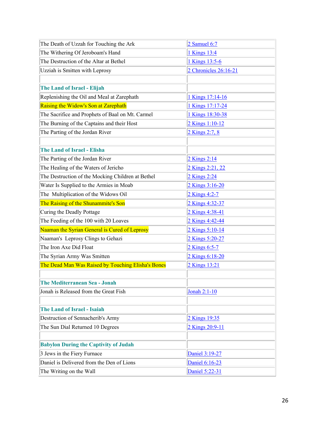| The Death of Uzzah for Touching the Ark            | 2 Samuel 6:7          |
|----------------------------------------------------|-----------------------|
| The Withering Of Jeroboam's Hand                   | 1 Kings 13:4          |
| The Destruction of the Altar at Bethel             | 1 Kings 13:5-6        |
| Uzziah is Smitten with Leprosy                     | 2 Chronicles 26:16-21 |
|                                                    |                       |
| The Land of Israel - Elijah                        |                       |
| Replenishing the Oil and Meal at Zarephath         | 1 Kings 17:14-16      |
| Raising the Widow's Son at Zarephath               | 1 Kings 17:17-24      |
| The Sacrifice and Prophets of Baal on Mt. Carmel   | 1 Kings 18:30-38      |
| The Burning of the Captains and their Host         | 2 Kings 1:10-12       |
| The Parting of the Jordan River                    | 2 Kings 2:7, 8        |
|                                                    |                       |
| <b>The Land of Israel - Elisha</b>                 |                       |
| The Parting of the Jordan River                    | 2 Kings 2:14          |
| The Healing of the Waters of Jericho               | 2 Kings 2:21, 22      |
| The Destruction of the Mocking Children at Bethel  | 2 Kings 2:24          |
| Water Is Supplied to the Armies in Moab            | 2 Kings 3:16-20       |
| The Multiplication of the Widows Oil               | 2 Kings 4:2-7         |
| The Raising of the Shunammite's Son                | 2 Kings 4:32-37       |
| Curing the Deadly Pottage                          | 2 Kings 4:38-41       |
| The Feeding of the 100 with 20 Loaves              | 2 Kings 4:42-44       |
| Naaman the Syrian General is Cured of Leprosy      | 2 Kings 5:10-14       |
| Naaman's Leprosy Clings to Gehazi                  | 2 Kings 5:20-27       |
| The Iron Axe Did Float                             | 2 Kings 6:5-7         |
| The Syrian Army Was Smitten                        | 2 Kings 6:18-20       |
| The Dead Man Was Raised by Touching Elisha's Bones | 2 Kings 13:21         |
|                                                    |                       |
| The Mediterranean Sea - Jonah                      |                       |
| Jonah is Released from the Great Fish              | Jonah 2:1-10          |
|                                                    |                       |
| <b>The Land of Israel - Isaiah</b>                 |                       |
| Destruction of Sennacherib's Army                  | 2 Kings 19:35         |
| The Sun Dial Returned 10 Degrees                   | 2 Kings 20:9-11       |
|                                                    |                       |
| <b>Babylon During the Captivity of Judah</b>       |                       |
| 3 Jews in the Fiery Furnace                        | Daniel 3:19-27        |
| Daniel is Delivered from the Den of Lions          | Daniel 6:16-23        |
| The Writing on the Wall                            | Daniel 5:22-31        |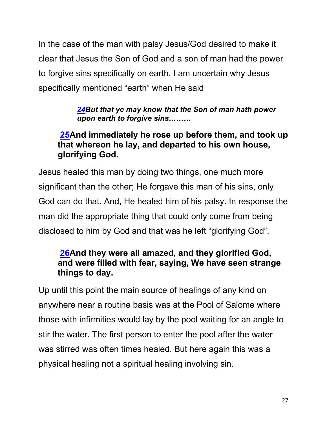In the case of the man with palsy Jesus/God desired to make it clear that Jesus the Son of God and a son of man had the power to forgive sins specifically on earth. I am uncertain why Jesus specifically mentioned "earth" when He said

> *24But that ye may know that the Son of man hath power upon earth to forgive sins………*

## **25And immediately he rose up before them, and took up that whereon he lay, and departed to his own house, glorifying God.**

Jesus healed this man by doing two things, one much more significant than the other; He forgave this man of his sins, only God can do that. And, He healed him of his palsy. In response the man did the appropriate thing that could only come from being disclosed to him by God and that was he left "glorifying God".

## **26And they were all amazed, and they glorified God, and were filled with fear, saying, We have seen strange things to day.**

Up until this point the main source of healings of any kind on anywhere near a routine basis was at the Pool of Salome where those with infirmities would lay by the pool waiting for an angle to stir the water. The first person to enter the pool after the water was stirred was often times healed. But here again this was a physical healing not a spiritual healing involving sin.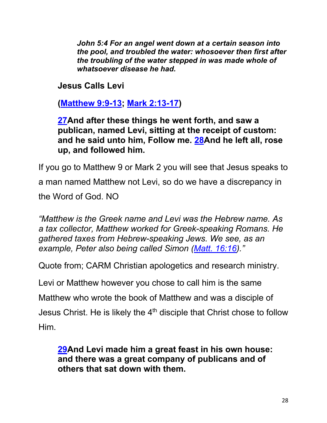*John 5:4 For an angel went down at a certain season into the pool, and troubled the water: whosoever then first after the troubling of the water stepped in was made whole of whatsoever disease he had.*

**Jesus Calls Levi**

**(Matthew 9:9-13; Mark 2:13-17)**

## **27And after these things he went forth, and saw a publican, named Levi, sitting at the receipt of custom: and he said unto him, Follow me. 28And he left all, rose up, and followed him.**

If you go to Matthew 9 or Mark 2 you will see that Jesus speaks to

a man named Matthew not Levi, so do we have a discrepancy in the Word of God. NO

*"Matthew is the Greek name and Levi was the Hebrew name. As a tax collector, Matthew worked for Greek-speaking Romans. He gathered taxes from Hebrew-speaking Jews. We see, as an example, Peter also being called Simon (Matt. 16:16)."*

Quote from; CARM Christian apologetics and research ministry.

Levi or Matthew however you chose to call him is the same

Matthew who wrote the book of Matthew and was a disciple of

Jesus Christ. He is likely the  $4<sup>th</sup>$  disciple that Christ chose to follow

Him.

## **29And Levi made him a great feast in his own house: and there was a great company of publicans and of others that sat down with them.**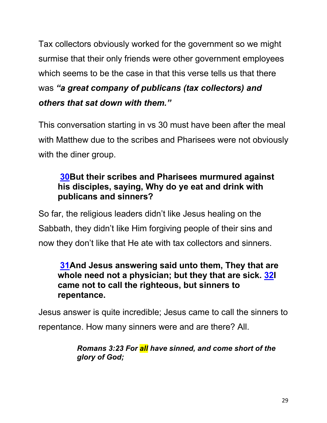Tax collectors obviously worked for the government so we might surmise that their only friends were other government employees which seems to be the case in that this verse tells us that there was *"a great company of publicans (tax collectors) and others that sat down with them."*

This conversation starting in vs 30 must have been after the meal with Matthew due to the scribes and Pharisees were not obviously with the diner group.

## **30But their scribes and Pharisees murmured against his disciples, saying, Why do ye eat and drink with publicans and sinners?**

So far, the religious leaders didn't like Jesus healing on the Sabbath, they didn't like Him forgiving people of their sins and now they don't like that He ate with tax collectors and sinners.

### **31And Jesus answering said unto them, They that are whole need not a physician; but they that are sick. 32I came not to call the righteous, but sinners to repentance.**

Jesus answer is quite incredible; Jesus came to call the sinners to repentance. How many sinners were and are there? All.

> *Romans 3:23 For all have sinned, and come short of the glory of God;*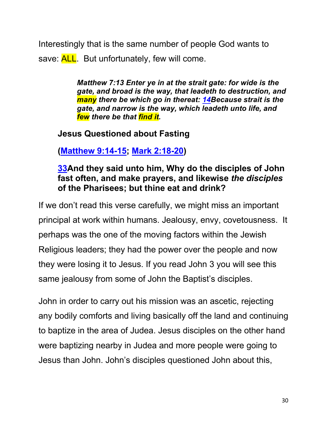Interestingly that is the same number of people God wants to save: **ALL**. But unfortunately, few will come.

> *Matthew 7:13 Enter ye in at the strait gate: for wide is the gate, and broad is the way, that leadeth to destruction, and many there be which go in thereat: 14Because strait is the gate, and narrow is the way, which leadeth unto life, and few there be that find it.*

## **Jesus Questioned about Fasting**

**(Matthew 9:14-15; Mark 2:18-20)**

## **33And they said unto him, Why do the disciples of John fast often, and make prayers, and likewise** *the disciples* **of the Pharisees; but thine eat and drink?**

If we don't read this verse carefully, we might miss an important principal at work within humans. Jealousy, envy, covetousness. It perhaps was the one of the moving factors within the Jewish Religious leaders; they had the power over the people and now they were losing it to Jesus. If you read John 3 you will see this same jealousy from some of John the Baptist's disciples.

John in order to carry out his mission was an ascetic, rejecting any bodily comforts and living basically off the land and continuing to baptize in the area of Judea. Jesus disciples on the other hand were baptizing nearby in Judea and more people were going to Jesus than John. John's disciples questioned John about this,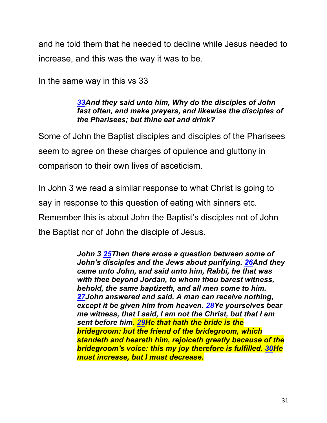and he told them that he needed to decline while Jesus needed to increase, and this was the way it was to be.

In the same way in this vs 33

#### *33And they said unto him, Why do the disciples of John fast often, and make prayers, and likewise the disciples of the Pharisees; but thine eat and drink?*

Some of John the Baptist disciples and disciples of the Pharisees seem to agree on these charges of opulence and gluttony in comparison to their own lives of asceticism.

In John 3 we read a similar response to what Christ is going to say in response to this question of eating with sinners etc. Remember this is about John the Baptist's disciples not of John the Baptist nor of John the disciple of Jesus.

> *John 3 25Then there arose a question between some of John's disciples and the Jews about purifying. 26And they came unto John, and said unto him, Rabbi, he that was with thee beyond Jordan, to whom thou barest witness, behold, the same baptizeth, and all men come to him. 27John answered and said, A man can receive nothing, except it be given him from heaven. 28Ye yourselves bear me witness, that I said, I am not the Christ, but that I am sent before him. 29He that hath the bride is the bridegroom: but the friend of the bridegroom, which standeth and heareth him, rejoiceth greatly because of the bridegroom's voice: this my joy therefore is fulfilled. 30He must increase, but I must decrease.*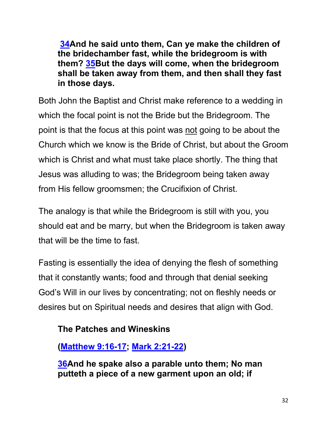**34And he said unto them, Can ye make the children of the bridechamber fast, while the bridegroom is with them? 35But the days will come, when the bridegroom shall be taken away from them, and then shall they fast in those days.**

Both John the Baptist and Christ make reference to a wedding in which the focal point is not the Bride but the Bridegroom. The point is that the focus at this point was not going to be about the Church which we know is the Bride of Christ, but about the Groom which is Christ and what must take place shortly. The thing that Jesus was alluding to was; the Bridegroom being taken away from His fellow groomsmen; the Crucifixion of Christ.

The analogy is that while the Bridegroom is still with you, you should eat and be marry, but when the Bridegroom is taken away that will be the time to fast.

Fasting is essentially the idea of denying the flesh of something that it constantly wants; food and through that denial seeking God's Will in our lives by concentrating; not on fleshly needs or desires but on Spiritual needs and desires that align with God.

### **The Patches and Wineskins**

**(Matthew 9:16-17; Mark 2:21-22)**

**36And he spake also a parable unto them; No man putteth a piece of a new garment upon an old; if**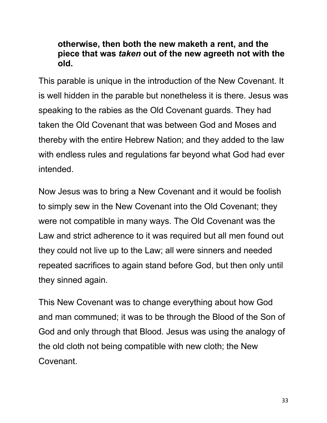### **otherwise, then both the new maketh a rent, and the piece that was** *taken* **out of the new agreeth not with the old.**

This parable is unique in the introduction of the New Covenant. It is well hidden in the parable but nonetheless it is there. Jesus was speaking to the rabies as the Old Covenant guards. They had taken the Old Covenant that was between God and Moses and thereby with the entire Hebrew Nation; and they added to the law with endless rules and regulations far beyond what God had ever intended.

Now Jesus was to bring a New Covenant and it would be foolish to simply sew in the New Covenant into the Old Covenant; they were not compatible in many ways. The Old Covenant was the Law and strict adherence to it was required but all men found out they could not live up to the Law; all were sinners and needed repeated sacrifices to again stand before God, but then only until they sinned again.

This New Covenant was to change everything about how God and man communed; it was to be through the Blood of the Son of God and only through that Blood. Jesus was using the analogy of the old cloth not being compatible with new cloth; the New Covenant.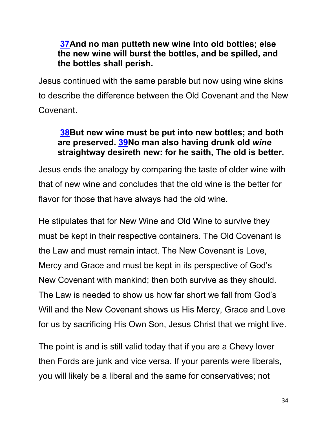## **37And no man putteth new wine into old bottles; else the new wine will burst the bottles, and be spilled, and the bottles shall perish.**

Jesus continued with the same parable but now using wine skins to describe the difference between the Old Covenant and the New Covenant.

### **38But new wine must be put into new bottles; and both are preserved. 39No man also having drunk old** *wine* **straightway desireth new: for he saith, The old is better.**

Jesus ends the analogy by comparing the taste of older wine with that of new wine and concludes that the old wine is the better for flavor for those that have always had the old wine.

He stipulates that for New Wine and Old Wine to survive they must be kept in their respective containers. The Old Covenant is the Law and must remain intact. The New Covenant is Love, Mercy and Grace and must be kept in its perspective of God's New Covenant with mankind; then both survive as they should. The Law is needed to show us how far short we fall from God's Will and the New Covenant shows us His Mercy, Grace and Love for us by sacrificing His Own Son, Jesus Christ that we might live.

The point is and is still valid today that if you are a Chevy lover then Fords are junk and vice versa. If your parents were liberals, you will likely be a liberal and the same for conservatives; not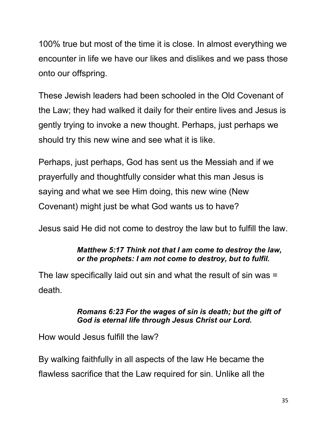100% true but most of the time it is close. In almost everything we encounter in life we have our likes and dislikes and we pass those onto our offspring.

These Jewish leaders had been schooled in the Old Covenant of the Law; they had walked it daily for their entire lives and Jesus is gently trying to invoke a new thought. Perhaps, just perhaps we should try this new wine and see what it is like.

Perhaps, just perhaps, God has sent us the Messiah and if we prayerfully and thoughtfully consider what this man Jesus is saying and what we see Him doing, this new wine (New Covenant) might just be what God wants us to have?

Jesus said He did not come to destroy the law but to fulfill the law.

#### *Matthew 5:17 Think not that I am come to destroy the law, or the prophets: I am not come to destroy, but to fulfil.*

The law specifically laid out sin and what the result of sin was = death.

#### *Romans 6:23 For the wages of sin is death; but the gift of God is eternal life through Jesus Christ our Lord.*

How would Jesus fulfill the law?

By walking faithfully in all aspects of the law He became the flawless sacrifice that the Law required for sin. Unlike all the